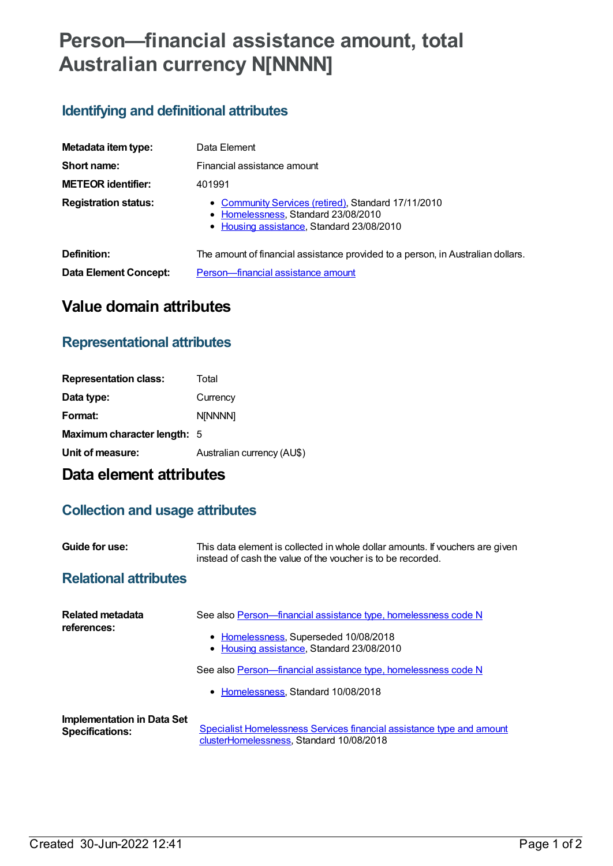# **Person—financial assistance amount, total Australian currency N[NNNN]**

### **Identifying and definitional attributes**

| Metadata item type:          | Data Element                                                                                                                            |
|------------------------------|-----------------------------------------------------------------------------------------------------------------------------------------|
| Short name:                  | Financial assistance amount                                                                                                             |
| <b>METEOR identifier:</b>    | 401991                                                                                                                                  |
| <b>Registration status:</b>  | • Community Services (retired), Standard 17/11/2010<br>• Homelessness, Standard 23/08/2010<br>• Housing assistance, Standard 23/08/2010 |
| Definition:                  | The amount of financial assistance provided to a person, in Australian dollars.                                                         |
| <b>Data Element Concept:</b> | Person-financial assistance amount                                                                                                      |

# **Value domain attributes**

#### **Representational attributes**

| <b>Representation class:</b>       | Total                      |
|------------------------------------|----------------------------|
| Data type:                         | Currency                   |
| Format:                            | <b>NINNNN1</b>             |
| <b>Maximum character length: 5</b> |                            |
| Unit of measure:                   | Australian currency (AU\$) |
|                                    |                            |

# **Data element attributes**

### **Collection and usage attributes**

| Guide for use:               | This data element is collected in whole dollar amounts. If vouchers are given<br>instead of cash the value of the voucher is to be recorded. |
|------------------------------|----------------------------------------------------------------------------------------------------------------------------------------------|
| <b>Relational attributes</b> |                                                                                                                                              |

| Related metadata<br>references:                      | See also Person-financial assistance type, homelessness code N<br>• Homelessness, Superseded 10/08/2018<br>• Housing assistance, Standard 23/08/2010 |
|------------------------------------------------------|------------------------------------------------------------------------------------------------------------------------------------------------------|
|                                                      | See also Person—financial assistance type, homelessness code N                                                                                       |
|                                                      | • Homelessness, Standard 10/08/2018                                                                                                                  |
| Implementation in Data Set<br><b>Specifications:</b> | Specialist Homelessness Services financial assistance type and amount<br>clusterHomelessness, Standard 10/08/2018                                    |